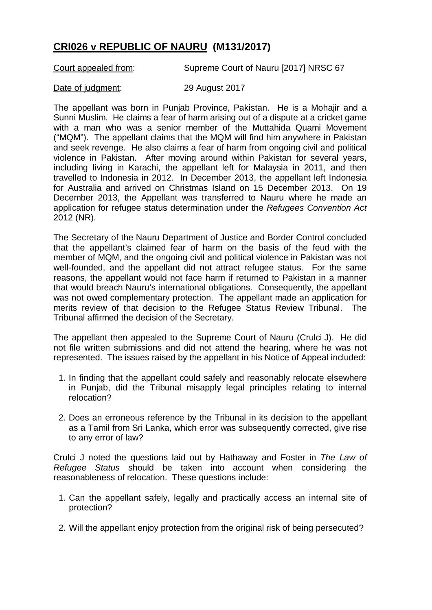## **CRI026 v REPUBLIC OF NAURU (M131/2017)**

Court appealed from: Supreme Court of Nauru [2017] NRSC 67

## Date of judgment: 29 August 2017

The appellant was born in Punjab Province, Pakistan. He is a Mohajir and a Sunni Muslim. He claims a fear of harm arising out of a dispute at a cricket game with a man who was a senior member of the Muttahida Quami Movement ("MQM"). The appellant claims that the MQM will find him anywhere in Pakistan and seek revenge. He also claims a fear of harm from ongoing civil and political violence in Pakistan. After moving around within Pakistan for several years, including living in Karachi, the appellant left for Malaysia in 2011, and then travelled to Indonesia in 2012. In December 2013, the appellant left Indonesia for Australia and arrived on Christmas Island on 15 December 2013. On 19 December 2013, the Appellant was transferred to Nauru where he made an application for refugee status determination under the *Refugees Convention Act*  2012 (NR).

The Secretary of the Nauru Department of Justice and Border Control concluded that the appellant's claimed fear of harm on the basis of the feud with the member of MQM, and the ongoing civil and political violence in Pakistan was not well-founded, and the appellant did not attract refugee status. For the same reasons, the appellant would not face harm if returned to Pakistan in a manner that would breach Nauru's international obligations. Consequently, the appellant was not owed complementary protection. The appellant made an application for merits review of that decision to the Refugee Status Review Tribunal. The Tribunal affirmed the decision of the Secretary.

The appellant then appealed to the Supreme Court of Nauru (Crulci J). He did not file written submissions and did not attend the hearing, where he was not represented. The issues raised by the appellant in his Notice of Appeal included:

- 1. In finding that the appellant could safely and reasonably relocate elsewhere in Punjab, did the Tribunal misapply legal principles relating to internal relocation?
- 2. Does an erroneous reference by the Tribunal in its decision to the appellant as a Tamil from Sri Lanka, which error was subsequently corrected, give rise to any error of law?

Crulci J noted the questions laid out by Hathaway and Foster in *The Law of Refugee Status* should be taken into account when considering the reasonableness of relocation. These questions include:

- 1. Can the appellant safely, legally and practically access an internal site of protection?
- 2. Will the appellant enjoy protection from the original risk of being persecuted?